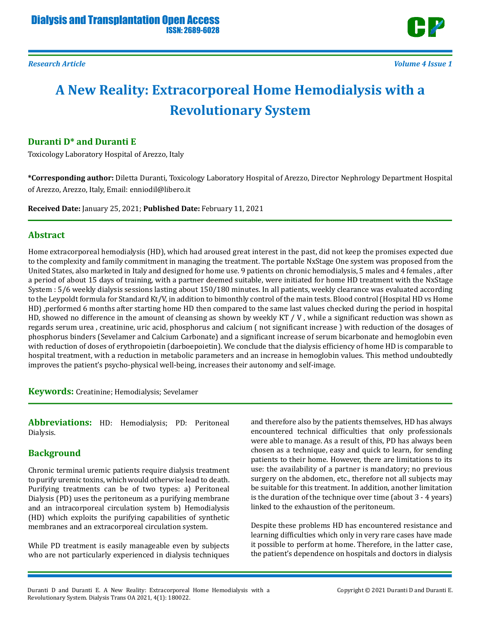

# **A New Reality: Extracorporeal Home Hemodialysis with a Revolutionary System**

## **Duranti D\* and Duranti E**

Toxicology Laboratory Hospital of Arezzo, Italy

**\*Corresponding author:** Diletta Duranti, Toxicology Laboratory Hospital of Arezzo, Director Nephrology Department Hospital of Arezzo, Arezzo, Italy, Email: enniodil@libero.it

**Received Date:** January 25, 2021; **Published Date:** February 11, 2021

#### **Abstract**

Home extracorporeal hemodialysis (HD), which had aroused great interest in the past, did not keep the promises expected due to the complexity and family commitment in managing the treatment. The portable NxStage One system was proposed from the United States, also marketed in Italy and designed for home use. 9 patients on chronic hemodialysis, 5 males and 4 females , after a period of about 15 days of training, with a partner deemed suitable, were initiated for home HD treatment with the NxStage System : 5/6 weekly dialysis sessions lasting about 150/180 minutes. In all patients, weekly clearance was evaluated according to the Leypoldt formula for Standard Kt/V, in addition to bimonthly control of the main tests. Blood control (Hospital HD vs Home HD) ,performed 6 months after starting home HD then compared to the same last values checked during the period in hospital HD, showed no difference in the amount of cleansing as shown by weekly KT / V , while a significant reduction was shown as regards serum urea , creatinine, uric acid, phosphorus and calcium ( not significant increase ) with reduction of the dosages of phosphorus binders (Sevelamer and Calcium Carbonate) and a significant increase of serum bicarbonate and hemoglobin even with reduction of doses of erythropoietin (darboepoietin). We conclude that the dialysis efficiency of home HD is comparable to hospital treatment, with a reduction in metabolic parameters and an increase in hemoglobin values. This method undoubtedly improves the patient's psycho-physical well-being, increases their autonomy and self-image.

**Keywords:** Creatinine; Hemodialysis; Sevelamer

**Abbreviations:** HD: Hemodialysis; PD: Peritoneal Dialysis.

## **Background**

Chronic terminal uremic patients require dialysis treatment to purify uremic toxins, which would otherwise lead to death. Purifying treatments can be of two types: a) Peritoneal Dialysis (PD) uses the peritoneum as a purifying membrane and an intracorporeal circulation system b) Hemodialysis (HD) which exploits the purifying capabilities of synthetic membranes and an extracorporeal circulation system.

While PD treatment is easily manageable even by subjects who are not particularly experienced in dialysis techniques

and therefore also by the patients themselves, HD has always encountered technical difficulties that only professionals were able to manage. As a result of this, PD has always been chosen as a technique, easy and quick to learn, for sending patients to their home. However, there are limitations to its use: the availability of a partner is mandatory; no previous surgery on the abdomen, etc., therefore not all subjects may be suitable for this treatment. In addition, another limitation is the duration of the technique over time (about 3 - 4 years) linked to the exhaustion of the peritoneum.

Despite these problems HD has encountered resistance and learning difficulties which only in very rare cases have made it possible to perform at home. Therefore, in the latter case, the patient's dependence on hospitals and doctors in dialysis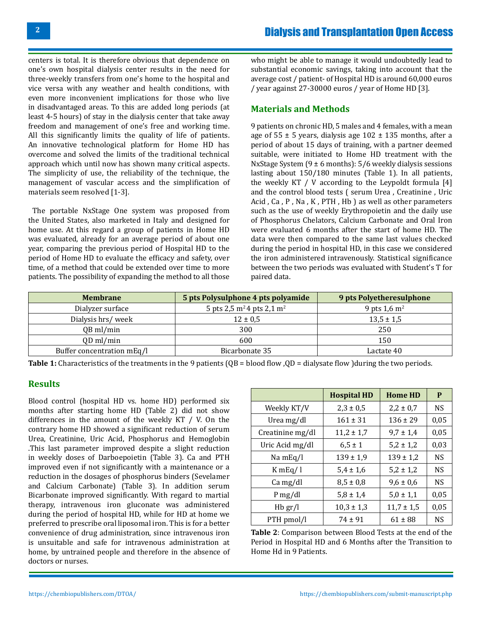centers is total. It is therefore obvious that dependence on one's own hospital dialysis center results in the need for three-weekly transfers from one's home to the hospital and vice versa with any weather and health conditions, with even more inconvenient implications for those who live in disadvantaged areas. To this are added long periods (at least 4-5 hours) of stay in the dialysis center that take away freedom and management of one's free and working time. All this significantly limits the quality of life of patients. An innovative technological platform for Home HD has overcome and solved the limits of the traditional technical approach which until now has shown many critical aspects. The simplicity of use, the reliability of the technique, the management of vascular access and the simplification of materials seem resolved [1-3].

 The portable NxStage One system was proposed from the United States, also marketed in Italy and designed for home use. At this regard a group of patients in Home HD was evaluated, already for an average period of about one year, comparing the previous period of Hospital HD to the period of Home HD to evaluate the efficacy and safety, over time, of a method that could be extended over time to more patients. The possibility of expanding the method to all those who might be able to manage it would undoubtedly lead to substantial economic savings, taking into account that the average cost / patient- of Hospital HD is around 60,000 euros / year against 27-30000 euros / year of Home HD [3].

## **Materials and Methods**

9 patients on chronic HD, 5 males and 4 females, with a mean age of  $55 \pm 5$  years, dialysis age  $102 \pm 135$  months, after a period of about 15 days of training, with a partner deemed suitable, were initiated to Home HD treatment with the NxStage System (9 ± 6 months): 5/6 weekly dialysis sessions lasting about 150/180 minutes (Table 1). In all patients, the weekly KT / V according to the Leypoldt formula [4] and the control blood tests ( serum Urea , Creatinine , Uric Acid , Ca , P , Na , K , PTH , Hb ) as well as other parameters such as the use of weekly Erythropoietin and the daily use of Phosphorus Chelators, Calcium Carbonate and Oral Iron were evaluated 6 months after the start of home HD. The data were then compared to the same last values checked during the period in hospital HD, in this case we considered the iron administered intravenously. Statistical significance between the two periods was evaluated with Student's T for paired data.

| <b>Membrane</b>            | 5 pts Polysulphone 4 pts polyamide                | 9 pts Polyetheresulphone |
|----------------------------|---------------------------------------------------|--------------------------|
| Dialyzer surface           | 5 pts 2,5 m <sup>2</sup> 4 pts 2,1 m <sup>2</sup> | 9 pts $1,6 \text{ m}^2$  |
| Dialysis hrs/week          | $12 \pm 0.5$                                      | $13,5 \pm 1,5$           |
| QB ml/min                  | 300                                               | 250                      |
| QD ml/min                  | 600                                               | 150                      |
| Buffer concentration mEq/l | Bicarbonate 35                                    | Lactate 40               |

**Table 1:** Characteristics of the treatments in the 9 patients (QB = blood flow ,QD = dialysate flow )during the two periods.

### **Results**

Blood control (hospital HD vs. home HD) performed six months after starting home HD (Table 2) did not show differences in the amount of the weekly KT / V. On the contrary home HD showed a significant reduction of serum Urea, Creatinine, Uric Acid, Phosphorus and Hemoglobin .This last parameter improved despite a slight reduction in weekly doses of Darboepoietin (Table 3). Ca and PTH improved even if not significantly with a maintenance or a reduction in the dosages of phosphorus binders (Sevelamer and Calcium Carbonate) (Table 3). In addition serum Bicarbonate improved significantly. With regard to martial therapy, intravenous iron gluconate was administered during the period of hospital HD, while for HD at home we preferred to prescribe oral liposomal iron. This is for a better convenience of drug administration, since intravenous iron is unsuitable and safe for intravenous administration at home, by untrained people and therefore in the absence of doctors or nurses.

|                  | <b>Hospital HD</b> | <b>Home HD</b> | P         |
|------------------|--------------------|----------------|-----------|
| Weekly KT/V      | $2,3 \pm 0,5$      | $2,2 \pm 0.7$  | <b>NS</b> |
| Urea mg/dl       | $161 \pm 31$       | $136 \pm 29$   | 0,05      |
| Creatinine mg/dl | $11,2 \pm 1,7$     | $9,7 \pm 1,4$  | 0,05      |
| Uric Acid mg/dl  | $6.5 \pm 1$        | $5,2 \pm 1,2$  | 0,03      |
| Na mEq/l         | $139 \pm 1,9$      | $139 \pm 1.2$  | <b>NS</b> |
| KmEq/I           | $5,4 \pm 1,6$      | $5,2 \pm 1,2$  | <b>NS</b> |
| Ca mg/dl         | $8,5 \pm 0,8$      | $9,6 \pm 0,6$  | <b>NS</b> |
| P mg/dl          | $5,8 \pm 1,4$      | $5,0 \pm 1,1$  | 0,05      |
| $Hb$ gr/l        | $10,3 \pm 1,3$     | $11,7 \pm 1,5$ | 0,05      |
| PTH pmol/l       | $74 \pm 91$        | $61 \pm 88$    | NS        |

**Table 2**: Comparison between Blood Tests at the end of the Period in Hospital HD and 6 Months after the Transition to Home Hd in 9 Patients.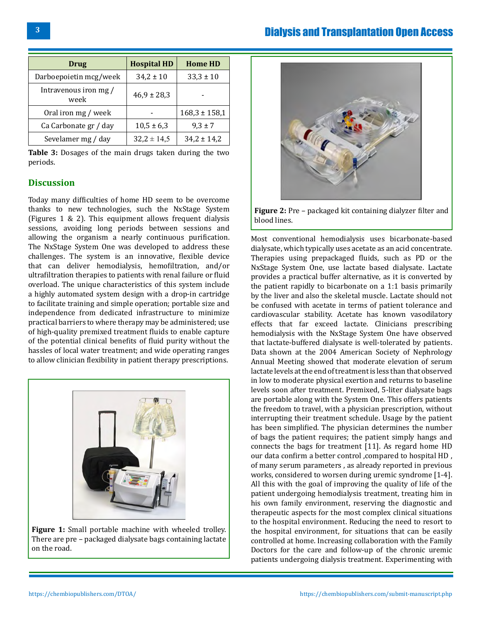| Drug                          | <b>Hospital HD</b> | <b>Home HD</b>    |
|-------------------------------|--------------------|-------------------|
| Darboepoietin mcg/week        | $34,2 \pm 10$      | $33,3 \pm 10$     |
| Intravenous iron mg /<br>week | $46,9 \pm 28,3$    |                   |
| Oral iron mg / week           |                    | $168,3 \pm 158,1$ |
| Ca Carbonate gr / day         | $10,5 \pm 6,3$     | $9,3 \pm 7$       |
| Sevelamer mg / day            | $32,2 \pm 14,5$    | $34,2 \pm 14,2$   |

**Table 3:** Dosages of the main drugs taken during the two periods.

### **Discussion**

Today many difficulties of home HD seem to be overcome thanks to new technologies, such the NxStage System (Figures 1 & 2). This equipment allows frequent dialysis sessions, avoiding long periods between sessions and allowing the organism a nearly continuous purification. The NxStage System One was developed to address these challenges. The system is an innovative, flexible device that can deliver hemodialysis, hemofiltration, and/or ultrafiltration therapies to patients with renal failure or fluid overload. The unique characteristics of this system include a highly automated system design with a drop-in cartridge to facilitate training and simple operation; portable size and independence from dedicated infrastructure to minimize practical barriers to where therapy may be administered; use of high‐quality premixed treatment fluids to enable capture of the potential clinical benefits of fluid purity without the hassles of local water treatment; and wide operating ranges to allow clinician flexibility in patient therapy prescriptions.



**Figure 1:** Small portable machine with wheeled trolley. There are pre – packaged dialysate bags containing lactate on the road.





**Figure 2:** Pre – packaged kit containing dialyzer filter and blood lines.

Most conventional hemodialysis uses bicarbonate-based dialysate, which typically uses acetate as an acid concentrate. Therapies using prepackaged fluids, such as PD or the NxStage System One, use lactate based dialysate. Lactate provides a practical buffer alternative, as it is converted by the patient rapidly to bicarbonate on a 1:1 basis primarily by the liver and also the skeletal muscle. Lactate should not be confused with acetate in terms of patient tolerance and cardiovascular stability. Acetate has known vasodilatory effects that far exceed lactate. Clinicians prescribing hemodialysis with the NxStage System One have observed that lactate-buffered dialysate is well-tolerated by patients. Data shown at the 2004 American Society of Nephrology Annual Meeting showed that moderate elevation of serum lactate levels at the end of treatment is less than that observed in low to moderate physical exertion and returns to baseline levels soon after treatment. Premixed, 5-liter dialysate bags are portable along with the System One. This offers patients the freedom to travel, with a physician prescription, without interrupting their treatment schedule. Usage by the patient has been simplified. The physician determines the number of bags the patient requires; the patient simply hangs and connects the bags for treatment [11]. As regard home HD our data confirm a better control ,compared to hospital HD , of many serum parameters , as already reported in previous works, considered to worsen during uremic syndrome [1-4]. All this with the goal of improving the quality of life of the patient undergoing hemodialysis treatment, treating him in his own family environment, reserving the diagnostic and therapeutic aspects for the most complex clinical situations to the hospital environment. Reducing the need to resort to the hospital environment, for situations that can be easily controlled at home. Increasing collaboration with the Family Doctors for the care and follow-up of the chronic uremic patients undergoing dialysis treatment. Experimenting with